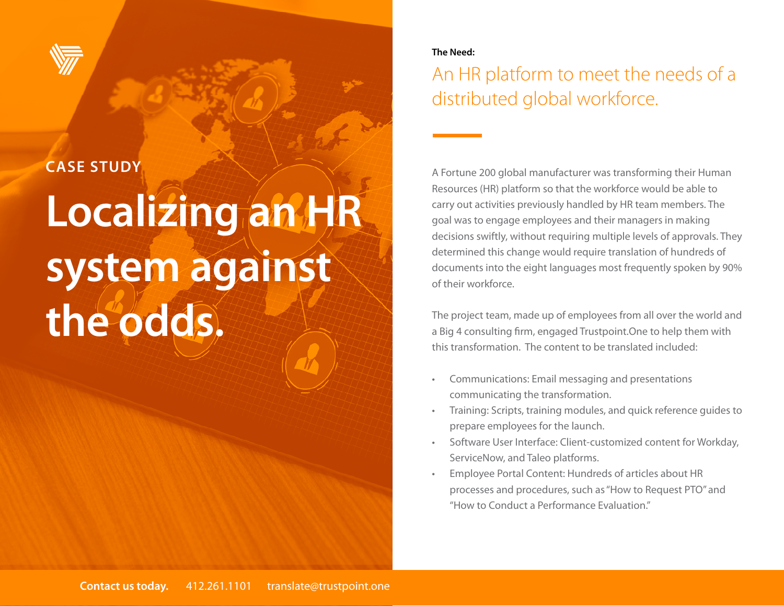

#### **CASE STUDY**

# **Localizing an HR system against the odds.**

#### **The Need:**

#### An HR platform to meet the needs of a distributed global workforce.

A Fortune 200 global manufacturer was transforming their Human Resources (HR) platform so that the workforce would be able to carry out activities previously handled by HR team members. The goal was to engage employees and their managers in making decisions swiftly, without requiring multiple levels of approvals. They determined this change would require translation of hundreds of documents into the eight languages most frequently spoken by 90% of their workforce.

The project team, made up of employees from all over the world and a Big 4 consulting firm, engaged Trustpoint.One to help them with this transformation. The content to be translated included:

- Communications: Email messaging and presentations communicating the transformation.
- Training: Scripts, training modules, and quick reference guides to prepare employees for the launch.
- Software User Interface: Client-customized content for Workday, ServiceNow, and Taleo platforms.
- Employee Portal Content: Hundreds of articles about HR processes and procedures, such as "How to Request PTO" and "How to Conduct a Performance Evaluation."